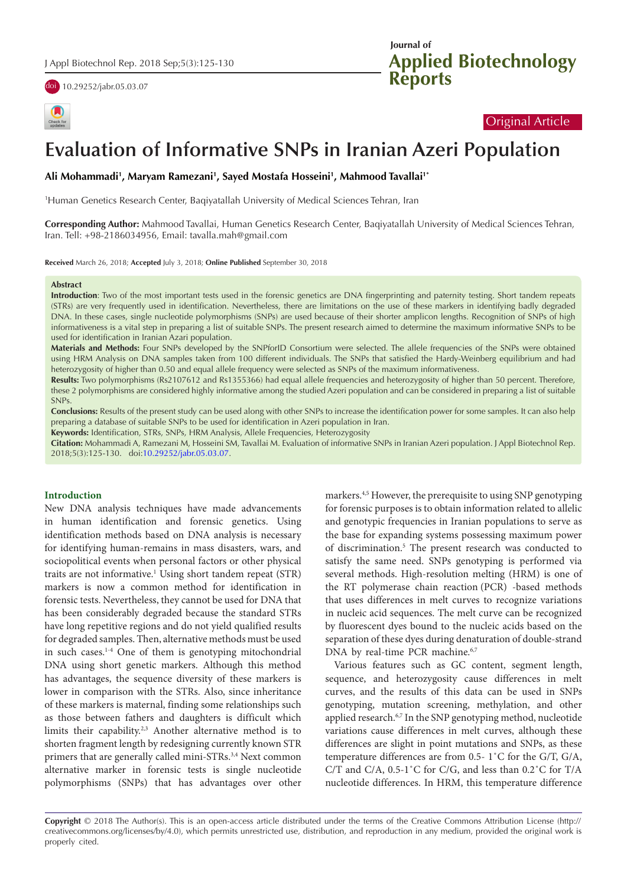

| Check f |
|---------|

# **Applied Biotechnology Reports Journal of**

# Original Article

# **Evaluation of Informative SNPs in Iranian Azeri Population**

# **Ali Mohammadi1 , Maryam Ramezani1 , Sayed Mostafa Hosseini1 , Mahmood Tavallai1\***

1 Human Genetics Research Center, Baqiyatallah University of Medical Sciences Tehran, Iran

**Corresponding Author:** Mahmood Tavallai, Human Genetics Research Center, Baqiyatallah University of Medical Sciences Tehran, Iran. Tell: +98-2186034956, Email: tavalla.mah@gmail.com

**Received** March 26, 2018; **Accepted** July 3, 2018; **Online Published** September 30, 2018

#### **Abstract**

**Introduction**: Two of the most important tests used in the forensic genetics are DNA fingerprinting and paternity testing. Short tandem repeats (STRs) are very frequently used in identification. Nevertheless, there are limitations on the use of these markers in identifying badly degraded DNA. In these cases, single nucleotide polymorphisms (SNPs) are used because of their shorter amplicon lengths. Recognition of SNPs of high informativeness is a vital step in preparing a list of suitable SNPs. The present research aimed to determine the maximum informative SNPs to be used for identification in Iranian Azari population.

**Materials and Methods:** Four SNPs developed by the SNPforID Consortium were selected. The allele frequencies of the SNPs were obtained using HRM Analysis on DNA samples taken from 100 different individuals. The SNPs that satisfied the Hardy-Weinberg equilibrium and had heterozygosity of higher than 0.50 and equal allele frequency were selected as SNPs of the maximum informativeness.

Results: Two polymorphisms (Rs2107612 and Rs1355366) had equal allele frequencies and heterozygosity of higher than 50 percent. Therefore, these 2 polymorphisms are considered highly informative among the studied Azeri population and can be considered in preparing a list of suitable SNPs.

**Conclusions:** Results of the present study can be used along with other SNPs to increase the identification power for some samples. It can also help preparing a database of suitable SNPs to be used for identification in Azeri population in Iran.

**Keywords:** Identification, STRs, SNPs, HRM Analysis, Allele Frequencies, Heterozygosity

**Citation:** Mohammadi A, Ramezani M, Hosseini SM, Tavallai M. Evaluation of informative SNPs in Iranian Azeri population. J Appl Biotechnol Rep. 2018;5(3):125-130. doi:[10.29252/jabr.05.03.07](https://doi.org/10.29252/jabr.05.03.07).

#### **Introduction**

New DNA analysis techniques have made advancements in human identification and forensic genetics. Using identification methods based on DNA analysis is necessary for identifying human-remains in mass disasters, wars, and sociopolitical events when personal factors or other physical traits are not informative.<sup>1</sup> Using short tandem repeat (STR) markers is now a common method for identification in forensic tests. Nevertheless, they cannot be used for DNA that has been considerably degraded because the standard STRs have long repetitive regions and do not yield qualified results for degraded samples. Then, alternative methods must be used in such cases. $14$  One of them is genotyping mitochondrial DNA using short genetic markers. Although this method has advantages, the sequence diversity of these markers is lower in comparison with the STRs. Also, since inheritance of these markers is maternal, finding some relationships such as those between fathers and daughters is difficult which limits their capability.2,3 Another alternative method is to shorten fragment length by redesigning currently known STR primers that are generally called mini-STRs.<sup>3,4</sup> Next common alternative marker in forensic tests is single nucleotide polymorphisms (SNPs) that has advantages over other

markers.4,5 However, the prerequisite to using SNP genotyping for forensic purposes is to obtain information related to allelic and genotypic frequencies in Iranian populations to serve as the base for expanding systems possessing maximum power of discrimination.<sup>5</sup> The present research was conducted to satisfy the same need. SNPs genotyping is performed via several methods. High-resolution melting (HRM) is one of the RT polymerase chain reaction (PCR) -based methods that uses differences in melt curves to recognize variations in nucleic acid sequences. The melt curve can be recognized by fluorescent dyes bound to the nucleic acids based on the separation of these dyes during denaturation of double-strand DNA by real-time PCR machine.<sup>6,7</sup>

Various features such as GC content, segment length, sequence, and heterozygosity cause differences in melt curves, and the results of this data can be used in SNPs genotyping, mutation screening, methylation, and other applied research.<sup>6,7</sup> In the SNP genotyping method, nucleotide variations cause differences in melt curves, although these differences are slight in point mutations and SNPs, as these temperature differences are from 0.5- 1˚C for the G/T, G/A, C/T and C/A, 0.5-1˚C for C/G, and less than 0.2˚C for T/A nucleotide differences. In HRM, this temperature difference

**Copyright** © 2018 The Author(s). This is an open-access article distributed under the terms of the Creative Commons Attribution License (http:// creativecommons.org/licenses/by/4.0), which permits unrestricted use, distribution, and reproduction in any medium, provided the original work is properly cited.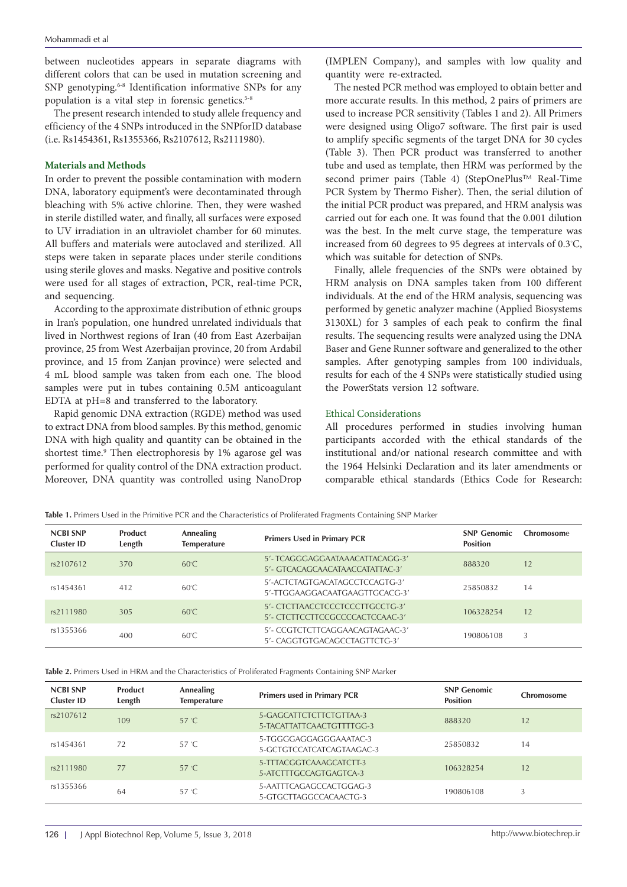between nucleotides appears in separate diagrams with different colors that can be used in mutation screening and SNP genotyping.<sup>6-8</sup> Identification informative SNPs for any population is a vital step in forensic genetics.<sup>5-8</sup>

The present research intended to study allele frequency and efficiency of the 4 SNPs introduced in the SNPforID database (i.e. Rs1454361, Rs1355366, Rs2107612, Rs2111980).

# **Materials and Methods**

In order to prevent the possible contamination with modern DNA, laboratory equipment's were decontaminated through bleaching with 5% active chlorine. Then, they were washed in sterile distilled water, and finally, all surfaces were exposed to UV irradiation in an ultraviolet chamber for 60 minutes. All buffers and materials were autoclaved and sterilized. All steps were taken in separate places under sterile conditions using sterile gloves and masks. Negative and positive controls were used for all stages of extraction, PCR, real-time PCR, and sequencing.

According to the approximate distribution of ethnic groups in Iran's population, one hundred unrelated individuals that lived in Northwest regions of Iran (40 from East Azerbaijan province, 25 from West Azerbaijan province, 20 from Ardabil province, and 15 from Zanjan province) were selected and 4 mL blood sample was taken from each one. The blood samples were put in tubes containing 0.5M anticoagulant EDTA at pH=8 and transferred to the laboratory.

Rapid genomic DNA extraction (RGDE) method was used to extract DNA from blood samples. By this method, genomic DNA with high quality and quantity can be obtained in the shortest time.<sup>9</sup> Then electrophoresis by 1% agarose gel was performed for quality control of the DNA extraction product. Moreover, DNA quantity was controlled using NanoDrop

(IMPLEN Company), and samples with low quality and quantity were re-extracted.

The nested PCR method was employed to obtain better and more accurate results. In this method, 2 pairs of primers are used to increase PCR sensitivity (Tables 1 and 2). All Primers were designed using Oligo7 software. The first pair is used to amplify specific segments of the target DNA for 30 cycles (Table 3). Then PCR product was transferred to another tube and used as template, then HRM was performed by the second primer pairs (Table 4) (StepOnePlus™ Real-Time PCR System by Thermo Fisher). Then, the serial dilution of the initial PCR product was prepared, and HRM analysis was carried out for each one. It was found that the 0.001 dilution was the best. In the melt curve stage, the temperature was increased from 60 degrees to 95 degrees at intervals of 0.3◦ C, which was suitable for detection of SNPs.

Finally, allele frequencies of the SNPs were obtained by HRM analysis on DNA samples taken from 100 different individuals. At the end of the HRM analysis, sequencing was performed by genetic analyzer machine (Applied Biosystems 3130XL) for 3 samples of each peak to confirm the final results. The sequencing results were analyzed using the DNA Baser and Gene Runner software and generalized to the other samples. After genotyping samples from 100 individuals, results for each of the 4 SNPs were statistically studied using the PowerStats version 12 software.

# Ethical Considerations

All procedures performed in studies involving human participants accorded with the ethical standards of the institutional and/or national research committee and with the 1964 Helsinki Declaration and its later amendments or comparable ethical standards (Ethics Code for Research:

**Table 1.** Primers Used in the Primitive PCR and the Characteristics of Proliferated Fragments Containing SNP Marker

| <b>NCBI SNP</b><br>Cluster ID | Product<br>Length | <b>Annealing</b><br><b>Temperature</b> | <b>Primers Used in Primary PCR</b>                                  | <b>SNP Genomic</b><br><b>Position</b> | Chromosome |
|-------------------------------|-------------------|----------------------------------------|---------------------------------------------------------------------|---------------------------------------|------------|
| rs2107612                     | 370               | $60^{\circ}$ C.                        | 5'-TCAGGGAGGAATAAACATTACAGG-3'<br>5'- GTCACAGCAACATAACCATATTAC-3'   | 888320                                | 12         |
| rs1454361                     | 412               | $60^{\circ}$ C                         | 5'-ACTCTAGTGACATAGCCTCCAGTG-3'<br>5'-TTGGAAGGACAATGAAGTTGCACG-3'    | 25850832                              | 14         |
| rs2111980                     | 305               | $60^{\circ}$ C                         | 5'- CTCTTAACCTCCCTCCCTTGCCTG-3'<br>5'- CTCTTCCTTCCGCCCCCACTCCAAC-3' | 106328254                             | 12         |
| rs1355366                     | 400               | $60^{\circ}$ C                         | 5'- CCGTCTCTTCAGGAACAGTAGAAC-3'<br>5'- CAGGTGTGACAGCCTAGTTCTG-3'    | 190806108                             | 3          |

**Table 2.** Primers Used in HRM and the Characteristics of Proliferated Fragments Containing SNP Marker

| <b>NCBI SNP</b><br>Cluster ID | Product<br>Length | <b>Annealing</b><br><b>Temperature</b> | <b>Primers used in Primary PCR</b>                   | <b>SNP Genomic</b><br><b>Position</b> | Chromosome |
|-------------------------------|-------------------|----------------------------------------|------------------------------------------------------|---------------------------------------|------------|
| rs2107612                     | 109               | $57^{\circ}$ C.                        | 5-GAGCATTCTCTTCTGTTAA-3<br>5-TACATTATTCAACTGTTTTGG-3 | 888320                                | 12         |
| rs1454361                     | 72                | $57^{\circ}$ C                         | 5-TGGGGAGGAGGGAAATAC-3<br>5-GCTGTCCATCATCAGTAAGAC-3  | 25850832                              | 14         |
| rs2111980                     | 77                | $57^{\circ}$ C.                        | 5-TTTACGGTCAAAGCATCTT-3<br>5-ATCTTTGCCAGTGAGTCA-3    | 106328254                             | 12         |
| rs1355366                     | 64                | $57^{\circ}$ C                         | 5-AATTTCAGAGCCACTGGAG-3<br>5-GTGCTTAGGCCACAACTG-3    | 190806108                             |            |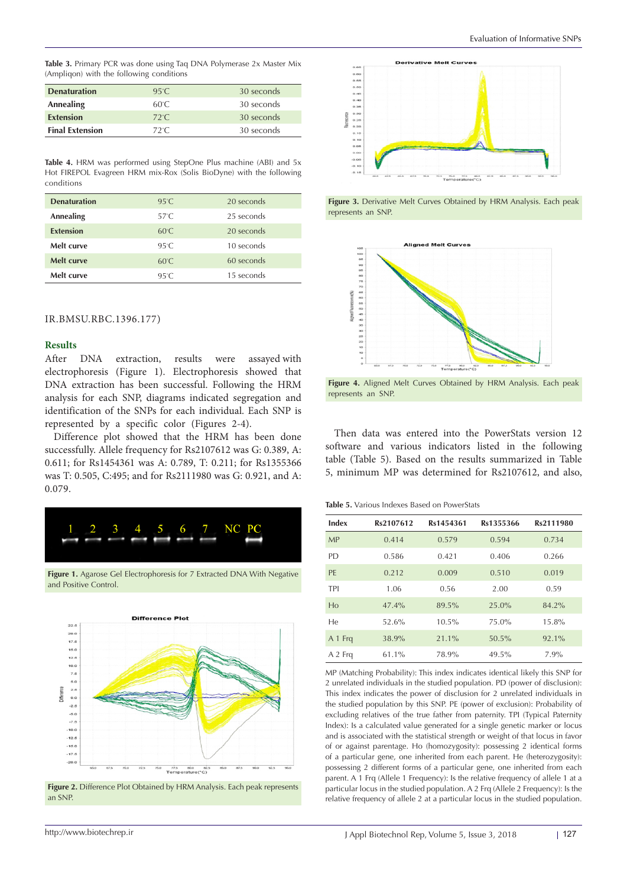**Table 3.** Primary PCR was done using Taq DNA Polymerase 2x Master Mix (Ampliqon) with the following conditions

| <b>Denaturation</b>    | 95°C.          | 30 seconds |
|------------------------|----------------|------------|
| Annealing              | 60°C.          | 30 seconds |
| <b>Extension</b>       | $72^{\circ}$ C | 30 seconds |
| <b>Final Extension</b> | $72^{\circ}$ C | 30 seconds |

**Table 4.** HRM was performed using StepOne Plus machine (ABI) and 5x Hot FIREPOL Evagreen HRM mix-Rox (Solis BioDyne) with the following conditions

| <b>Denaturation</b> | $95^{\circ}$ C  | 20 seconds |
|---------------------|-----------------|------------|
| Annealing           | $57^{\circ}$ C. | 25 seconds |
| <b>Extension</b>    | $60^{\circ}$ C  | 20 seconds |
| Melt curve          | $95^\circ C$    | 10 seconds |
| Melt curve          | $60^{\circ}$ C  | 60 seconds |
| Melt curve          | $95^{\circ}$ C  | 15 seconds |

# IR.BMSU.RBC.1396.177)

# **Results**

After DNA extraction, results were assayed with electrophoresis (Figure 1). Electrophoresis showed that DNA extraction has been successful. Following the HRM analysis for each SNP, diagrams indicated segregation and identification of the SNPs for each individual. Each SNP is represented by a specific color (Figures 2-4).

Difference plot showed that the HRM has been done successfully. Allele frequency for Rs2107612 was G: 0.389, A: 0.611; for Rs1454361 was A: 0.789, T: 0.211; for Rs1355366 was T: 0.505, C:495; and for Rs2111980 was G: 0.921, and A: 0.079.



**Figure 1.** Agarose Gel Electrophoresis for 7 Extracted DNA With Negative and Positive Control.



Figure 2. Difference Plot Obtained by HRM Analysis. Each peak represents an SNP.







**Figure 4.** Aligned Melt Curves Obtained by HRM Analysis. Each peak represents an SNP.

Then data was entered into the PowerStats version 12 software and various indicators listed in the following table (Table 5). Based on the results summarized in Table 5, minimum MP was determined for Rs2107612, and also,

**Table 5.** Various Indexes Based on PowerStats

| Index          | Rs2107612 | Rs1454361 | Rs1355366 | Rs2111980 |
|----------------|-----------|-----------|-----------|-----------|
| <b>MP</b>      | 0.414     | 0.579     | 0.594     | 0.734     |
| PD.            | 0.586     | 0.421     | 0.406     | 0.266     |
| PF             | 0.212     | 0.009     | 0.510     | 0.019     |
| TPI            | 1.06      | 0.56      | 2.00      | 0.59      |
| H <sub>0</sub> | 47.4%     | 89.5%     | 25.0%     | 84.2%     |
| He             | 52.6%     | 10.5%     | 75.0%     | 15.8%     |
| A 1 Frg        | 38.9%     | 21.1%     | 50.5%     | 92.1%     |
| A 2 Fra        | $61.1\%$  | 78.9%     | 49.5%     | 7.9%      |

MP (Matching Probability): This index indicates identical likely this SNP for 2 unrelated individuals in the studied population. PD (power of disclusion): This index indicates the power of disclusion for 2 unrelated individuals in the studied population by this SNP. PE (power of exclusion): Probability of excluding relatives of the true father from paternity. TPI (Typical Paternity Index): Is a calculated value generated for a single genetic marker or locus and is associated with the statistical strength or weight of that locus in favor of or against parentage. Ho (homozygosity): possessing 2 identical forms of a particular gene, one inherited from each parent. He (heterozygosity): possessing 2 different forms of a particular gene, one inherited from each parent. A 1 Frq (Allele 1 Frequency): Is the relative frequency of allele 1 at a particular locus in the studied population. A 2 Frq (Allele 2 Frequency): Is the relative frequency of allele 2 at a particular locus in the studied population.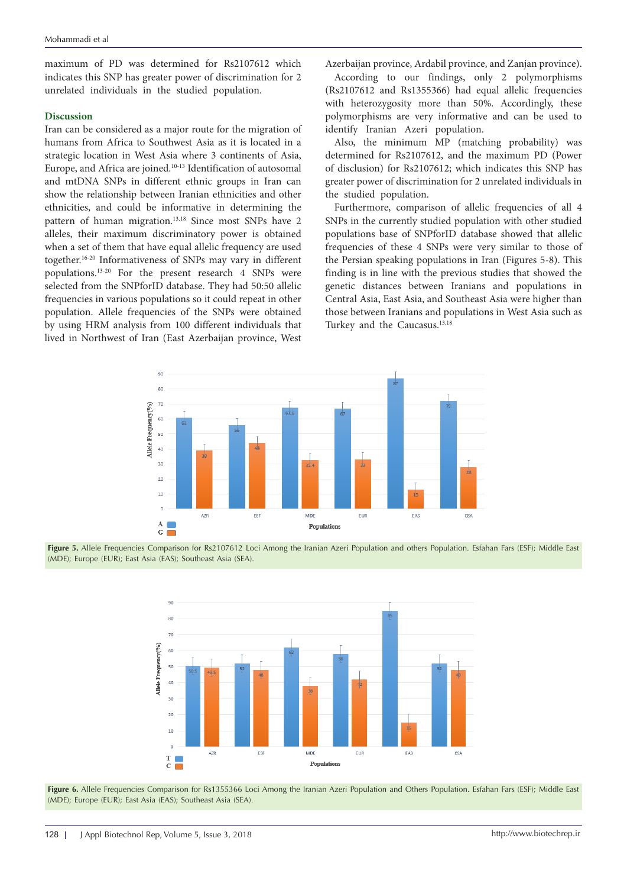maximum of PD was determined for Rs2107612 which indicates this SNP has greater power of discrimination for 2 unrelated individuals in the studied population.

# **Discussion**

Iran can be considered as a major route for the migration of humans from Africa to Southwest Asia as it is located in a strategic location in West Asia where 3 continents of Asia, Europe, and Africa are joined.<sup>10-13</sup> Identification of autosomal and mtDNA SNPs in different ethnic groups in Iran can show the relationship between Iranian ethnicities and other ethnicities, and could be informative in determining the pattern of human migration.<sup>13,18</sup> Since most SNPs have 2 alleles, their maximum discriminatory power is obtained when a set of them that have equal allelic frequency are used together.16-20 Informativeness of SNPs may vary in different populations.13-20 For the present research 4 SNPs were selected from the SNPforID database. They had 50:50 allelic frequencies in various populations so it could repeat in other population. Allele frequencies of the SNPs were obtained by using HRM analysis from 100 different individuals that lived in Northwest of Iran (East Azerbaijan province, West Azerbaijan province, Ardabil province, and Zanjan province).

According to our findings, only 2 polymorphisms (Rs2107612 and Rs1355366) had equal allelic frequencies with heterozygosity more than 50%. Accordingly, these polymorphisms are very informative and can be used to identify Iranian Azeri population.

Also, the minimum MP (matching probability) was determined for Rs2107612, and the maximum PD (Power of disclusion) for Rs2107612; which indicates this SNP has greater power of discrimination for 2 unrelated individuals in the studied population.

Furthermore, comparison of allelic frequencies of all 4 SNPs in the currently studied population with other studied populations base of SNPforID database showed that allelic frequencies of these 4 SNPs were very similar to those of the Persian speaking populations in Iran (Figures 5-8). This finding is in line with the previous studies that showed the genetic distances between Iranians and populations in Central Asia, East Asia, and Southeast Asia were higher than those between Iranians and populations in West Asia such as Turkey and the Caucasus.<sup>13,18</sup>



Figure 5. Allele Frequencies Comparison for Rs2107612 Loci Among the Iranian Azeri Population and others Population. Esfahan Fars (ESF); Middle East (MDE); Europe (EUR); East Asia (EAS); Southeast Asia (SEA).



Figure 6. Allele Frequencies Comparison for Rs1355366 Loci Among the Iranian Azeri Population and Others Population. Esfahan Fars (ESF); Middle East (MDE); Europe (EUR); East Asia (EAS); Southeast Asia (SEA).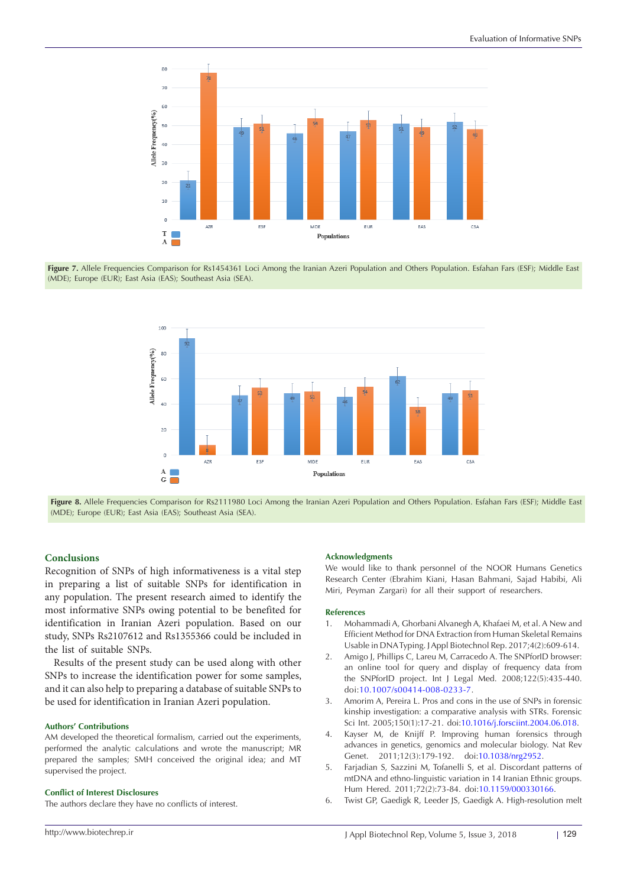

Figure 7. Allele Frequencies Comparison for Rs1454361 Loci Among the Iranian Azeri Population and Others Population. Esfahan Fars (ESF); Middle East (MDE); Europe (EUR); East Asia (EAS); Southeast Asia (SEA).



Figure 8. Allele Frequencies Comparison for Rs2111980 Loci Among the Iranian Azeri Population and Others Population. Esfahan Fars (ESF); Middle East (MDE); Europe (EUR); East Asia (EAS); Southeast Asia (SEA).

# **Conclusions**

Recognition of SNPs of high informativeness is a vital step in preparing a list of suitable SNPs for identification in any population. The present research aimed to identify the most informative SNPs owing potential to be benefited for identification in Iranian Azeri population. Based on our study, SNPs Rs2107612 and Rs1355366 could be included in the list of suitable SNPs.

Results of the present study can be used along with other SNPs to increase the identification power for some samples, and it can also help to preparing a database of suitable SNPs to be used for identification in Iranian Azeri population.

# **Authors' Contributions**

AM developed the theoretical formalism, carried out the experiments, performed the analytic calculations and wrote the manuscript; MR prepared the samples; SMH conceived the original idea; and MT supervised the project.

#### **Conflict of Interest Disclosures**

The authors declare they have no conflicts of interest.

### **Acknowledgments**

We would like to thank personnel of the NOOR Humans Genetics Research Center (Ebrahim Kiani, Hasan Bahmani, Sajad Habibi, Ali Miri, Peyman Zargari) for all their support of researchers.

#### **References**

- 1. Mohammadi A, Ghorbani Alvanegh A, Khafaei M, et al. A New and Efficient Method for DNA Extraction from Human Skeletal Remains Usable in DNA Typing. J Appl Biotechnol Rep. 2017;4(2):609-614.
- 2. Amigo J, Phillips C, Lareu M, Carracedo A. The SNPforID browser: an online tool for query and display of frequency data from the SNPforID project. Int J Legal Med. 2008;122(5):435-440. doi[:10.1007/s00414-008-0233-7.](https://doi.org/10.1007/s00414-008-0233-7)
- 3. Amorim A, Pereira L. Pros and cons in the use of SNPs in forensic kinship investigation: a comparative analysis with STRs. Forensic Sci Int. 2005;150(1):17-21. doi:[10.1016/j.forsciint.2004.06.018.](https://doi.org/10.1016/j.forsciint.2004.06.018)
- 4. Kayser M, de Knijff P. Improving human forensics through advances in genetics, genomics and molecular biology. Nat Rev Genet. 2011;12(3):179-192. doi[:10.1038/nrg2952](https://doi.org/10.1038/nrg2952).
- 5. Farjadian S, Sazzini M, Tofanelli S, et al. Discordant patterns of mtDNA and ethno-linguistic variation in 14 Iranian Ethnic groups. Hum Hered. 2011;72(2):73-84. doi:[10.1159/000330166.](https://doi.org/10.1159/000330166)
- 6. Twist GP, Gaedigk R, Leeder JS, Gaedigk A. High-resolution melt